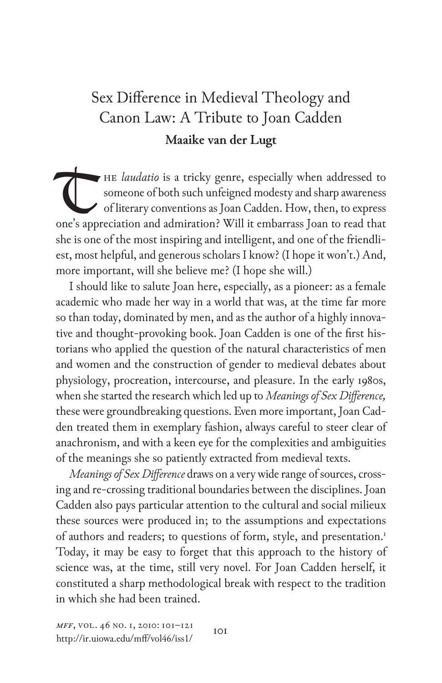## Sex Difference in Medieval Theology and Canon Law: A Tribute to Joan Cadden **Maaike van der Lugt**

HE *laudatio* is a tricky genre, especially when addressed to someone of both such unfeigned modesty and sharp awareness of literary conventions as Joan Cadden. How, then, to express one's appreciation and admiration? Will it embarrass Joan to read that she is one of the most inspiring and intelligent, and one of the friendliest, most helpful, and generous scholars I know? (I hope it won't.) And, more important, will she believe me? (I hope she will.) T

I should like to salute Joan here, especially, as a pioneer: as a female academic who made her way in a world that was, at the time far more so than today, dominated by men, and as the author of a highly innovative and thought-provoking book. Joan Cadden is one of the first historians who applied the question of the natural characteristics of men and women and the construction of gender to medieval debates about physiology, procreation, intercourse, and pleasure. In the early 1980s, when she started the research which led up to *Meanings of Sex Difference,* these were groundbreaking questions. Even more important, Joan Cadden treated them in exemplary fashion, always careful to steer clear of anachronism, and with a keen eye for the complexities and ambiguities of the meanings she so patiently extracted from medieval texts.

*Meanings of Sex Difference* draws on a very wide range of sources, crossing and re-crossing traditional boundaries between the disciplines. Joan Cadden also pays particular attention to the cultural and social milieux these sources were produced in; to the assumptions and expectations of authors and readers; to questions of form, style, and presentation.<sup>1</sup> Today, it may be easy to forget that this approach to the history of science was, at the time, still very novel. For Joan Cadden herself, it constituted a sharp methodological break with respect to the tradition in which she had been trained.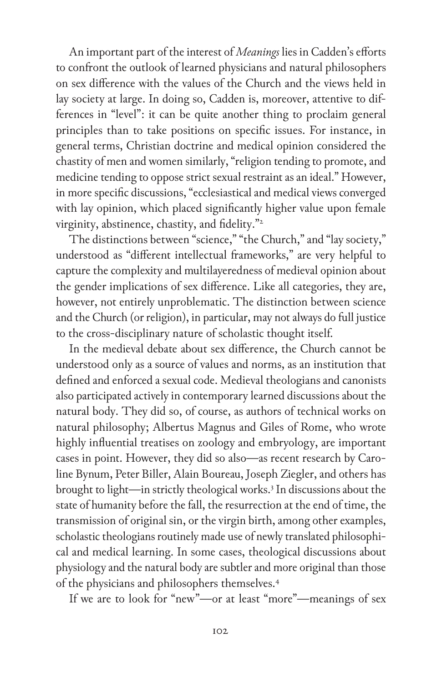An important part of the interest of *Meanings* lies in Cadden's efforts to confront the outlook of learned physicians and natural philosophers on sex difference with the values of the Church and the views held in lay society at large. In doing so, Cadden is, moreover, attentive to differences in "level": it can be quite another thing to proclaim general principles than to take positions on specific issues. For instance, in general terms, Christian doctrine and medical opinion considered the chastity of men and women similarly, "religion tending to promote, and medicine tending to oppose strict sexual restraint as an ideal." However, in more specific discussions, "ecclesiastical and medical views converged with lay opinion, which placed significantly higher value upon female virginity, abstinence, chastity, and fidelity."2

The distinctions between "science," "the Church," and "lay society," understood as "different intellectual frameworks," are very helpful to capture the complexity and multilayeredness of medieval opinion about the gender implications of sex difference. Like all categories, they are, however, not entirely unproblematic. The distinction between science and the Church (or religion), in particular, may not always do full justice to the cross-disciplinary nature of scholastic thought itself.

In the medieval debate about sex difference, the Church cannot be understood only as a source of values and norms, as an institution that defined and enforced a sexual code. Medieval theologians and canonists also participated actively in contemporary learned discussions about the natural body. They did so, of course, as authors of technical works on natural philosophy; Albertus Magnus and Giles of Rome, who wrote highly influential treatises on zoology and embryology, are important cases in point. However, they did so also—as recent research by Caroline Bynum, Peter Biller, Alain Boureau, Joseph Ziegler, and others has brought to light-in strictly theological works.<sup>3</sup> In discussions about the state of humanity before the fall, the resurrection at the end of time, the transmission of original sin, or the virgin birth, among other examples, scholastic theologians routinely made use of newly translated philosophical and medical learning. In some cases, theological discussions about physiology and the natural body are subtler and more original than those of the physicians and philosophers themselves.4

If we are to look for "new"—or at least "more"—meanings of sex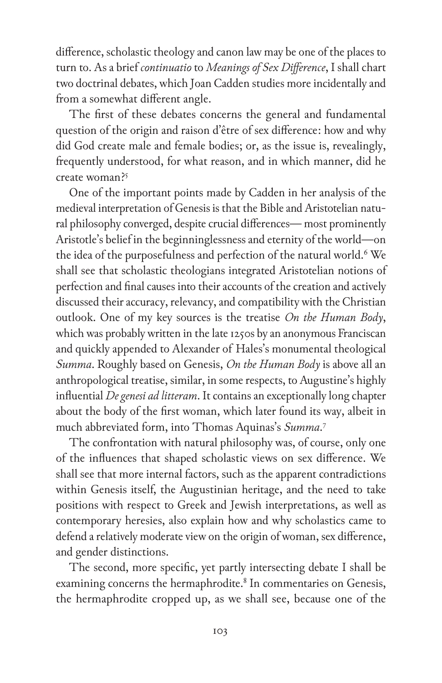difference, scholastic theology and canon law may be one of the places to turn to. As a brief *continuatio* to *Meanings of Sex Difference*, I shall chart two doctrinal debates, which Joan Cadden studies more incidentally and from a somewhat different angle.

The first of these debates concerns the general and fundamental question of the origin and raison d'être of sex difference: how and why did God create male and female bodies; or, as the issue is, revealingly, frequently understood, for what reason, and in which manner, did he create woman?5

One of the important points made by Cadden in her analysis of the medieval interpretation of Genesis is that the Bible and Aristotelian natural philosophy converged, despite crucial differences— most prominently Aristotle's belief in the beginninglessness and eternity of the world—on the idea of the purposefulness and perfection of the natural world.<sup>6</sup> We shall see that scholastic theologians integrated Aristotelian notions of perfection and final causes into their accounts of the creation and actively discussed their accuracy, relevancy, and compatibility with the Christian outlook. One of my key sources is the treatise *On the Human Body*, which was probably written in the late 1250s by an anonymous Franciscan and quickly appended to Alexander of Hales's monumental theological *Summa*. Roughly based on Genesis, *On the Human Body* is above all an anthropological treatise, similar, in some respects, to Augustine's highly influential *De genesi ad litteram*. It contains an exceptionally long chapter about the body of the first woman, which later found its way, albeit in much abbreviated form, into Thomas Aquinas's *Summa*. 7

The confrontation with natural philosophy was, of course, only one of the influences that shaped scholastic views on sex difference. We shall see that more internal factors, such as the apparent contradictions within Genesis itself, the Augustinian heritage, and the need to take positions with respect to Greek and Jewish interpretations, as well as contemporary heresies, also explain how and why scholastics came to defend a relatively moderate view on the origin of woman, sex difference, and gender distinctions.

The second, more specific, yet partly intersecting debate I shall be examining concerns the hermaphrodite.<sup>8</sup> In commentaries on Genesis, the hermaphrodite cropped up, as we shall see, because one of the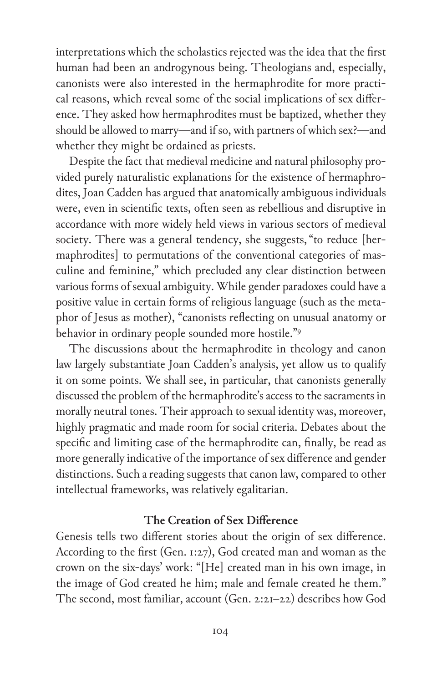interpretations which the scholastics rejected was the idea that the first human had been an androgynous being. Theologians and, especially, canonists were also interested in the hermaphrodite for more practical reasons, which reveal some of the social implications of sex difference. They asked how hermaphrodites must be baptized, whether they should be allowed to marry—and if so, with partners of which sex?—and whether they might be ordained as priests.

Despite the fact that medieval medicine and natural philosophy provided purely naturalistic explanations for the existence of hermaphrodites, Joan Cadden has argued that anatomically ambiguous individuals were, even in scientific texts, often seen as rebellious and disruptive in accordance with more widely held views in various sectors of medieval society. There was a general tendency, she suggests, "to reduce [hermaphrodites] to permutations of the conventional categories of masculine and feminine," which precluded any clear distinction between various forms of sexual ambiguity. While gender paradoxes could have a positive value in certain forms of religious language (such as the metaphor of Jesus as mother), "canonists reflecting on unusual anatomy or behavior in ordinary people sounded more hostile."9

The discussions about the hermaphrodite in theology and canon law largely substantiate Joan Cadden's analysis, yet allow us to qualify it on some points. We shall see, in particular, that canonists generally discussed the problem of the hermaphrodite's access to the sacraments in morally neutral tones. Their approach to sexual identity was, moreover, highly pragmatic and made room for social criteria. Debates about the specific and limiting case of the hermaphrodite can, finally, be read as more generally indicative of the importance of sex difference and gender distinctions. Such a reading suggests that canon law, compared to other intellectual frameworks, was relatively egalitarian.

## **The Creation of Sex Difference**

Genesis tells two different stories about the origin of sex difference. According to the first (Gen. 1:27), God created man and woman as the crown on the six-days' work: "[He] created man in his own image, in the image of God created he him; male and female created he them." The second, most familiar, account (Gen. 2:21–22) describes how God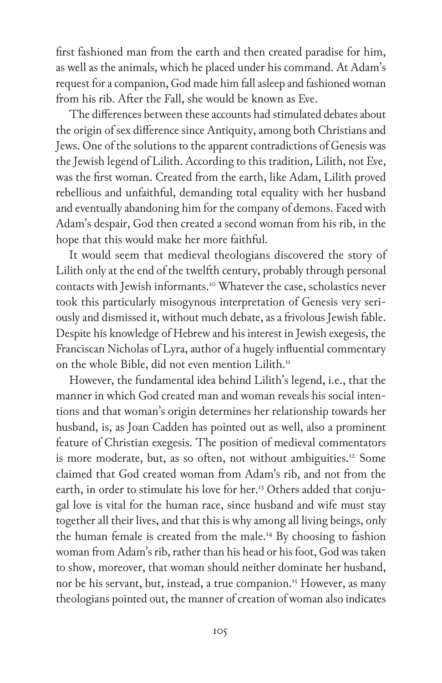first fashioned man from the earth and then created paradise for him, as well as the animals, which he placed under his command. At Adam's request for a companion, God made him fall asleep and fashioned woman from his rib. After the Fall, she would be known as Eve.

The differences between these accounts had stimulated debates about the origin of sex difference since Antiquity, among both Christians and Jews. One of the solutions to the apparent contradictions of Genesis was the Jewish legend of Lilith. According to this tradition, Lilith, not Eve, was the first woman. Created from the earth, like Adam, Lilith proved rebellious and unfaithful, demanding total equality with her husband and eventually abandoning him for the company of demons. Faced with Adam's despair, God then created a second woman from his rib, in the hope that this would make her more faithful.

It would seem that medieval theologians discovered the story of Lilith only at the end of the twelfth century, probably through personal contacts with Jewish informants.10 Whatever the case, scholastics never took this particularly misogynous interpretation of Genesis very seriously and dismissed it, without much debate, as a frivolous Jewish fable. Despite his knowledge of Hebrew and his interest in Jewish exegesis, the Franciscan Nicholas of Lyra, author of a hugely influential commentary on the whole Bible, did not even mention Lilith.<sup>11</sup>

However, the fundamental idea behind Lilith's legend, i.e., that the manner in which God created man and woman reveals his social intentions and that woman's origin determines her relationship towards her husband, is, as Joan Cadden has pointed out as well, also a prominent feature of Christian exegesis. The position of medieval commentators is more moderate, but, as so often, not without ambiguities.<sup>12</sup> Some claimed that God created woman from Adam's rib, and not from the earth, in order to stimulate his love for her.<sup>13</sup> Others added that conjugal love is vital for the human race, since husband and wife must stay together all their lives, and that this is why among all living beings, only the human female is created from the male.14 By choosing to fashion woman from Adam's rib, rather than his head or his foot, God was taken to show, moreover, that woman should neither dominate her husband, nor be his servant, but, instead, a true companion.<sup>15</sup> However, as many theologians pointed out, the manner of creation of woman also indicates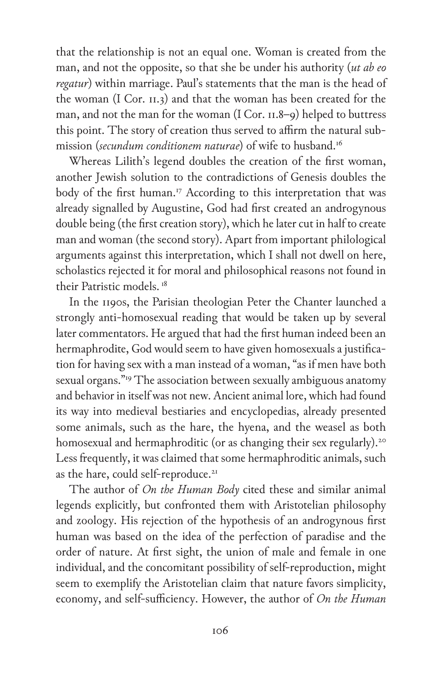that the relationship is not an equal one. Woman is created from the man, and not the opposite, so that she be under his authority (*ut ab eo regatur*) within marriage. Paul's statements that the man is the head of the woman (I Cor. 11.3) and that the woman has been created for the man, and not the man for the woman (I Cor. 11.8–9) helped to buttress this point. The story of creation thus served to affirm the natural submission (*secundum conditionem naturae*) of wife to husband.16

Whereas Lilith's legend doubles the creation of the first woman, another Jewish solution to the contradictions of Genesis doubles the body of the first human.<sup>17</sup> According to this interpretation that was already signalled by Augustine, God had first created an androgynous double being (the first creation story), which he later cut in half to create man and woman (the second story). Apart from important philological arguments against this interpretation, which I shall not dwell on here, scholastics rejected it for moral and philosophical reasons not found in their Patristic models. 18

In the 1190s, the Parisian theologian Peter the Chanter launched a strongly anti-homosexual reading that would be taken up by several later commentators. He argued that had the first human indeed been an hermaphrodite, God would seem to have given homosexuals a justification for having sex with a man instead of a woman, "as if men have both sexual organs."19 The association between sexually ambiguous anatomy and behavior in itself was not new. Ancient animal lore, which had found its way into medieval bestiaries and encyclopedias, already presented some animals, such as the hare, the hyena, and the weasel as both homosexual and hermaphroditic (or as changing their sex regularly).<sup>20</sup> Less frequently, it was claimed that some hermaphroditic animals, such as the hare, could self-reproduce.<sup>21</sup>

The author of *On the Human Body* cited these and similar animal legends explicitly, but confronted them with Aristotelian philosophy and zoology. His rejection of the hypothesis of an androgynous first human was based on the idea of the perfection of paradise and the order of nature. At first sight, the union of male and female in one individual, and the concomitant possibility of self-reproduction, might seem to exemplify the Aristotelian claim that nature favors simplicity, economy, and self-sufficiency. However, the author of *On the Human*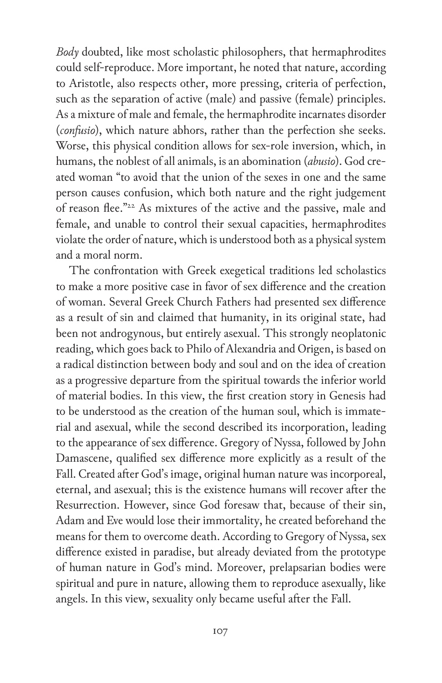*Body* doubted, like most scholastic philosophers, that hermaphrodites could self-reproduce. More important, he noted that nature, according to Aristotle, also respects other, more pressing, criteria of perfection, such as the separation of active (male) and passive (female) principles. As a mixture of male and female, the hermaphrodite incarnates disorder (*confusio*), which nature abhors, rather than the perfection she seeks. Worse, this physical condition allows for sex-role inversion, which, in humans, the noblest of all animals, is an abomination (*abusio*). God created woman "to avoid that the union of the sexes in one and the same person causes confusion, which both nature and the right judgement of reason flee."22 As mixtures of the active and the passive, male and female, and unable to control their sexual capacities, hermaphrodites violate the order of nature, which is understood both as a physical system and a moral norm.

The confrontation with Greek exegetical traditions led scholastics to make a more positive case in favor of sex difference and the creation of woman. Several Greek Church Fathers had presented sex difference as a result of sin and claimed that humanity, in its original state, had been not androgynous, but entirely asexual. This strongly neoplatonic reading, which goes back to Philo of Alexandria and Origen, is based on a radical distinction between body and soul and on the idea of creation as a progressive departure from the spiritual towards the inferior world of material bodies. In this view, the first creation story in Genesis had to be understood as the creation of the human soul, which is immaterial and asexual, while the second described its incorporation, leading to the appearance of sex difference. Gregory of Nyssa, followed by John Damascene, qualified sex difference more explicitly as a result of the Fall. Created after God's image, original human nature was incorporeal, eternal, and asexual; this is the existence humans will recover after the Resurrection. However, since God foresaw that, because of their sin, Adam and Eve would lose their immortality, he created beforehand the means for them to overcome death. According to Gregory of Nyssa, sex difference existed in paradise, but already deviated from the prototype of human nature in God's mind. Moreover, prelapsarian bodies were spiritual and pure in nature, allowing them to reproduce asexually, like angels. In this view, sexuality only became useful after the Fall.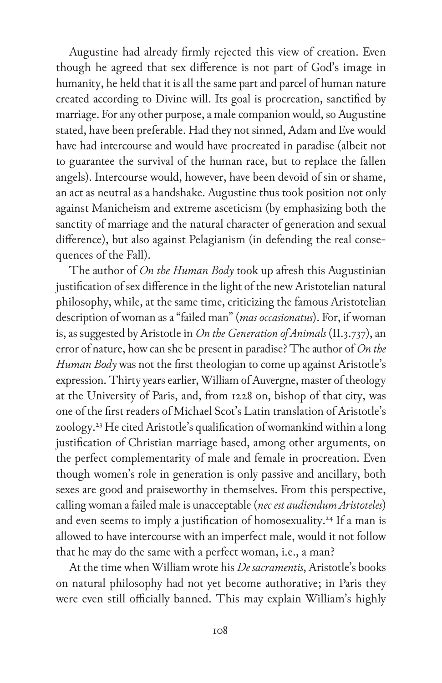Augustine had already firmly rejected this view of creation. Even though he agreed that sex difference is not part of God's image in humanity, he held that it is all the same part and parcel of human nature created according to Divine will. Its goal is procreation, sanctified by marriage. For any other purpose, a male companion would, so Augustine stated, have been preferable. Had they not sinned, Adam and Eve would have had intercourse and would have procreated in paradise (albeit not to guarantee the survival of the human race, but to replace the fallen angels). Intercourse would, however, have been devoid of sin or shame, an act as neutral as a handshake. Augustine thus took position not only against Manicheism and extreme asceticism (by emphasizing both the sanctity of marriage and the natural character of generation and sexual difference), but also against Pelagianism (in defending the real consequences of the Fall).

The author of *On the Human Body* took up afresh this Augustinian justification of sex difference in the light of the new Aristotelian natural philosophy, while, at the same time, criticizing the famous Aristotelian description of woman as a "failed man" (*mas occasionatus*). For, if woman is, as suggested by Aristotle in *On the Generation of Animals* (II.3.737), an error of nature, how can she be present in paradise? The author of *On the Human Body* was not the first theologian to come up against Aristotle's expression. Thirty years earlier, William of Auvergne, master of theology at the University of Paris, and, from 1228 on, bishop of that city, was one of the first readers of Michael Scot's Latin translation of Aristotle's zoology.<sup>23</sup> He cited Aristotle's qualification of womankind within a long justification of Christian marriage based, among other arguments, on the perfect complementarity of male and female in procreation. Even though women's role in generation is only passive and ancillary, both sexes are good and praiseworthy in themselves. From this perspective, calling woman a failed male is unacceptable (*nec est audiendum Aristoteles*) and even seems to imply a justification of homosexuality.<sup>24</sup> If a man is allowed to have intercourse with an imperfect male, would it not follow that he may do the same with a perfect woman, i.e., a man?

At the time when William wrote his *De sacramentis*, Aristotle's books on natural philosophy had not yet become authorative; in Paris they were even still officially banned. This may explain William's highly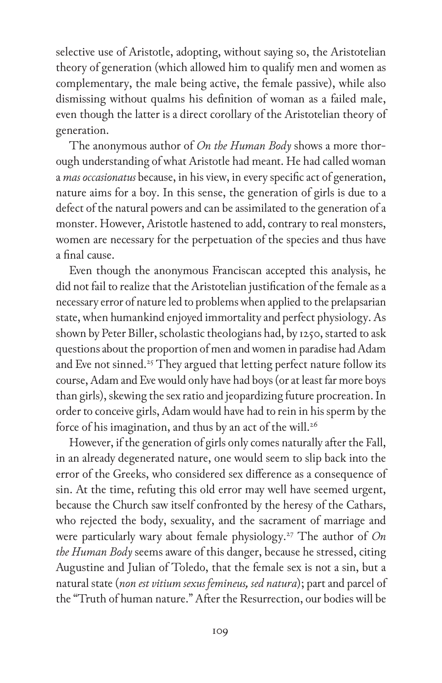selective use of Aristotle, adopting, without saying so, the Aristotelian theory of generation (which allowed him to qualify men and women as complementary, the male being active, the female passive), while also dismissing without qualms his definition of woman as a failed male, even though the latter is a direct corollary of the Aristotelian theory of generation.

The anonymous author of *On the Human Body* shows a more thorough understanding of what Aristotle had meant. He had called woman a *mas occasionatus* because, in his view, in every specific act of generation, nature aims for a boy. In this sense, the generation of girls is due to a defect of the natural powers and can be assimilated to the generation of a monster. However, Aristotle hastened to add, contrary to real monsters, women are necessary for the perpetuation of the species and thus have a final cause.

Even though the anonymous Franciscan accepted this analysis, he did not fail to realize that the Aristotelian justification of the female as a necessary error of nature led to problems when applied to the prelapsarian state, when humankind enjoyed immortality and perfect physiology. As shown by Peter Biller, scholastic theologians had, by 1250, started to ask questions about the proportion of men and women in paradise had Adam and Eve not sinned.<sup>25</sup> They argued that letting perfect nature follow its course, Adam and Eve would only have had boys (or at least far more boys than girls), skewing the sex ratio and jeopardizing future procreation. In order to conceive girls, Adam would have had to rein in his sperm by the force of his imagination, and thus by an act of the will.<sup>26</sup>

However, if the generation of girls only comes naturally after the Fall, in an already degenerated nature, one would seem to slip back into the error of the Greeks, who considered sex difference as a consequence of sin. At the time, refuting this old error may well have seemed urgent, because the Church saw itself confronted by the heresy of the Cathars, who rejected the body, sexuality, and the sacrament of marriage and were particularly wary about female physiology.<sup>27</sup> The author of *On the Human Body* seems aware of this danger, because he stressed, citing Augustine and Julian of Toledo, that the female sex is not a sin, but a natural state (*non est vitium sexus femineus, sed natura*); part and parcel of the "Truth of human nature." After the Resurrection, our bodies will be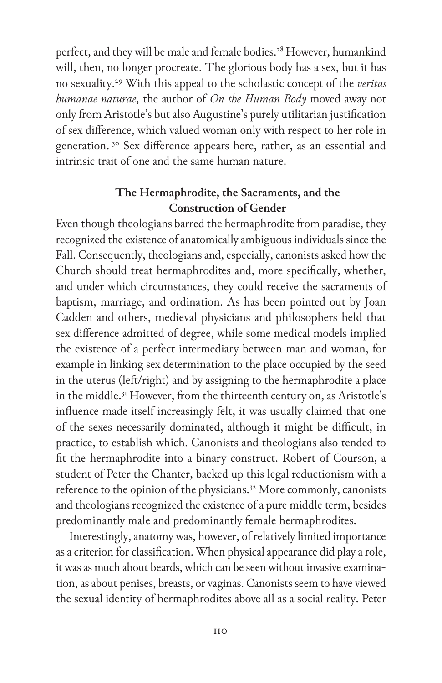perfect, and they will be male and female bodies.<sup>28</sup> However, humankind will, then, no longer procreate. The glorious body has a sex, but it has no sexuality.29 With this appeal to the scholastic concept of the *veritas humanae naturae*, the author of *On the Human Body* moved away not only from Aristotle's but also Augustine's purely utilitarian justification of sex difference, which valued woman only with respect to her role in generation. 30 Sex difference appears here, rather, as an essential and intrinsic trait of one and the same human nature.

## **The Hermaphrodite, the Sacraments, and the Construction of Gender**

Even though theologians barred the hermaphrodite from paradise, they recognized the existence of anatomically ambiguous individuals since the Fall. Consequently, theologians and, especially, canonists asked how the Church should treat hermaphrodites and, more specifically, whether, and under which circumstances, they could receive the sacraments of baptism, marriage, and ordination. As has been pointed out by Joan Cadden and others, medieval physicians and philosophers held that sex difference admitted of degree, while some medical models implied the existence of a perfect intermediary between man and woman, for example in linking sex determination to the place occupied by the seed in the uterus (left/right) and by assigning to the hermaphrodite a place in the middle.<sup>31</sup> However, from the thirteenth century on, as Aristotle's influence made itself increasingly felt, it was usually claimed that one of the sexes necessarily dominated, although it might be difficult, in practice, to establish which. Canonists and theologians also tended to fit the hermaphrodite into a binary construct. Robert of Courson, a student of Peter the Chanter, backed up this legal reductionism with a reference to the opinion of the physicians.<sup>32</sup> More commonly, canonists and theologians recognized the existence of a pure middle term, besides predominantly male and predominantly female hermaphrodites.

Interestingly, anatomy was, however, of relatively limited importance as a criterion for classification. When physical appearance did play a role, it was as much about beards, which can be seen without invasive examination, as about penises, breasts, or vaginas. Canonists seem to have viewed the sexual identity of hermaphrodites above all as a social reality. Peter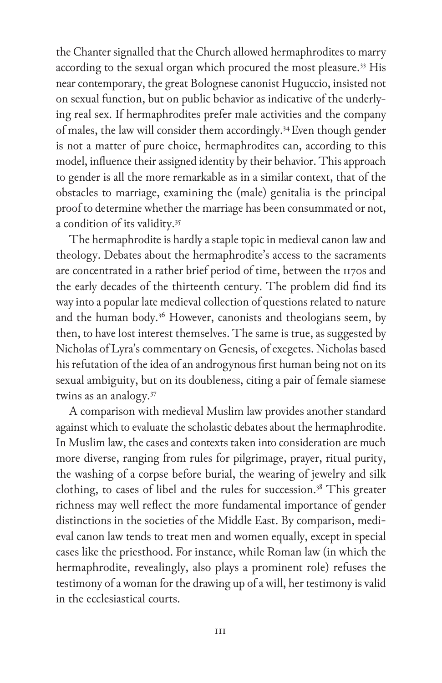the Chanter signalled that the Church allowed hermaphrodites to marry according to the sexual organ which procured the most pleasure.<sup>33</sup> His near contemporary, the great Bolognese canonist Huguccio, insisted not on sexual function, but on public behavior as indicative of the underlying real sex. If hermaphrodites prefer male activities and the company of males, the law will consider them accordingly.<sup>34</sup> Even though gender is not a matter of pure choice, hermaphrodites can, according to this model, influence their assigned identity by their behavior. This approach to gender is all the more remarkable as in a similar context, that of the obstacles to marriage, examining the (male) genitalia is the principal proof to determine whether the marriage has been consummated or not, a condition of its validity.35

The hermaphrodite is hardly a staple topic in medieval canon law and theology. Debates about the hermaphrodite's access to the sacraments are concentrated in a rather brief period of time, between the 1170s and the early decades of the thirteenth century. The problem did find its way into a popular late medieval collection of questions related to nature and the human body.<sup>36</sup> However, canonists and theologians seem, by then, to have lost interest themselves. The same is true, as suggested by Nicholas of Lyra's commentary on Genesis, of exegetes. Nicholas based his refutation of the idea of an androgynous first human being not on its sexual ambiguity, but on its doubleness, citing a pair of female siamese twins as an analogy.37

A comparison with medieval Muslim law provides another standard against which to evaluate the scholastic debates about the hermaphrodite. In Muslim law, the cases and contexts taken into consideration are much more diverse, ranging from rules for pilgrimage, prayer, ritual purity, the washing of a corpse before burial, the wearing of jewelry and silk clothing, to cases of libel and the rules for succession. $38$  This greater richness may well reflect the more fundamental importance of gender distinctions in the societies of the Middle East. By comparison, medieval canon law tends to treat men and women equally, except in special cases like the priesthood. For instance, while Roman law (in which the hermaphrodite, revealingly, also plays a prominent role) refuses the testimony of a woman for the drawing up of a will, her testimony is valid in the ecclesiastical courts.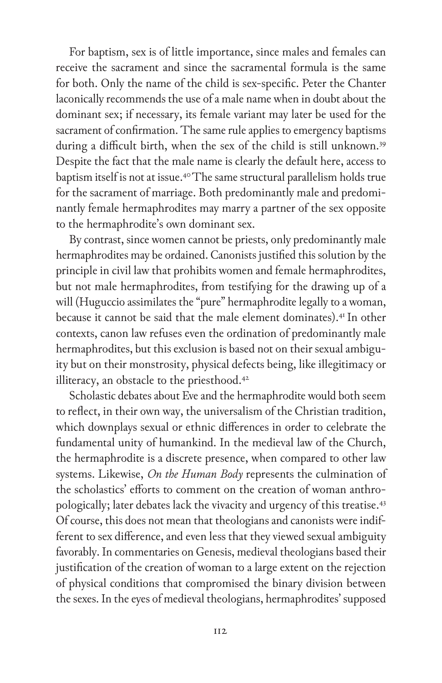For baptism, sex is of little importance, since males and females can receive the sacrament and since the sacramental formula is the same for both. Only the name of the child is sex-specific. Peter the Chanter laconically recommends the use of a male name when in doubt about the dominant sex; if necessary, its female variant may later be used for the sacrament of confirmation. The same rule applies to emergency baptisms during a difficult birth, when the sex of the child is still unknown.<sup>39</sup> Despite the fact that the male name is clearly the default here, access to baptism itself is not at issue.40 The same structural parallelism holds true for the sacrament of marriage. Both predominantly male and predominantly female hermaphrodites may marry a partner of the sex opposite to the hermaphrodite's own dominant sex.

By contrast, since women cannot be priests, only predominantly male hermaphrodites may be ordained. Canonists justified this solution by the principle in civil law that prohibits women and female hermaphrodites, but not male hermaphrodites, from testifying for the drawing up of a will (Huguccio assimilates the "pure" hermaphrodite legally to a woman, because it cannot be said that the male element dominates).<sup>41</sup> In other contexts, canon law refuses even the ordination of predominantly male hermaphrodites, but this exclusion is based not on their sexual ambiguity but on their monstrosity, physical defects being, like illegitimacy or illiteracy, an obstacle to the priesthood.<sup>42</sup>

Scholastic debates about Eve and the hermaphrodite would both seem to reflect, in their own way, the universalism of the Christian tradition, which downplays sexual or ethnic differences in order to celebrate the fundamental unity of humankind. In the medieval law of the Church, the hermaphrodite is a discrete presence, when compared to other law systems. Likewise, *On the Human Body* represents the culmination of the scholastics' efforts to comment on the creation of woman anthropologically; later debates lack the vivacity and urgency of this treatise.43 Of course, this does not mean that theologians and canonists were indifferent to sex difference, and even less that they viewed sexual ambiguity favorably. In commentaries on Genesis, medieval theologians based their justification of the creation of woman to a large extent on the rejection of physical conditions that compromised the binary division between the sexes. In the eyes of medieval theologians, hermaphrodites' supposed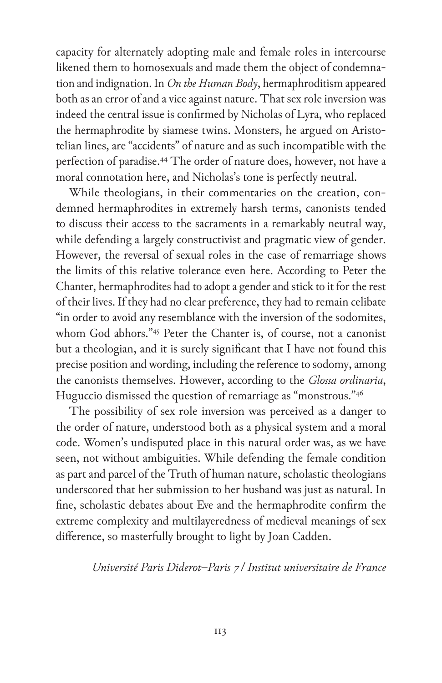capacity for alternately adopting male and female roles in intercourse likened them to homosexuals and made them the object of condemnation and indignation. In *On the Human Body*, hermaphroditism appeared both as an error of and a vice against nature. That sex role inversion was indeed the central issue is confirmed by Nicholas of Lyra, who replaced the hermaphrodite by siamese twins. Monsters, he argued on Aristotelian lines, are "accidents" of nature and as such incompatible with the perfection of paradise.44 The order of nature does, however, not have a moral connotation here, and Nicholas's tone is perfectly neutral.

While theologians, in their commentaries on the creation, condemned hermaphrodites in extremely harsh terms, canonists tended to discuss their access to the sacraments in a remarkably neutral way, while defending a largely constructivist and pragmatic view of gender. However, the reversal of sexual roles in the case of remarriage shows the limits of this relative tolerance even here. According to Peter the Chanter, hermaphrodites had to adopt a gender and stick to it for the rest of their lives. If they had no clear preference, they had to remain celibate "in order to avoid any resemblance with the inversion of the sodomites, whom God abhors."<sup>45</sup> Peter the Chanter is, of course, not a canonist but a theologian, and it is surely significant that I have not found this precise position and wording, including the reference to sodomy, among the canonists themselves. However, according to the *Glossa ordinaria*, Huguccio dismissed the question of remarriage as "monstrous."46

The possibility of sex role inversion was perceived as a danger to the order of nature, understood both as a physical system and a moral code. Women's undisputed place in this natural order was, as we have seen, not without ambiguities. While defending the female condition as part and parcel of the Truth of human nature, scholastic theologians underscored that her submission to her husband was just as natural. In fine, scholastic debates about Eve and the hermaphrodite confirm the extreme complexity and multilayeredness of medieval meanings of sex difference, so masterfully brought to light by Joan Cadden.

*Université Paris Diderot–Paris 7 / Institut universitaire de France*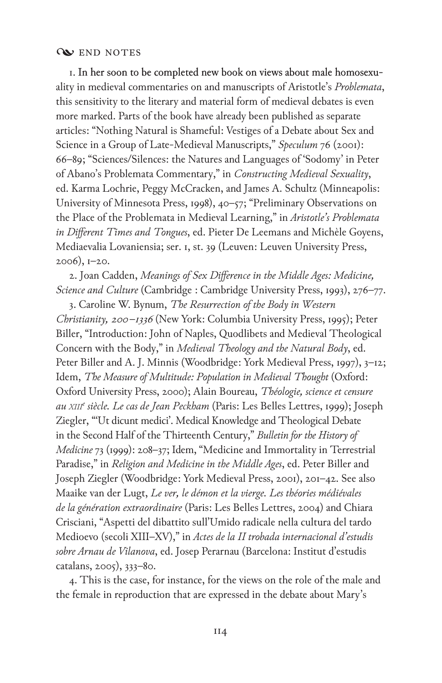## **WEND NOTES**

1. In her soon to be completed new book on views about male homosexuality in medieval commentaries on and manuscripts of Aristotle's *Problemata*, this sensitivity to the literary and material form of medieval debates is even more marked. Parts of the book have already been published as separate articles: "Nothing Natural is Shameful: Vestiges of a Debate about Sex and Science in a Group of Late-Medieval Manuscripts," Speculum 76 (2001): 66–89; "Sciences/Silences: the Natures and Languages of 'Sodomy' in Peter of Abano's Problemata Commentary," in *Constructing Medieval Sexuality*, ed. Karma Lochrie, Peggy McCracken, and James A. Schultz (Minneapolis: University of Minnesota Press, 1998), 40–57; "Preliminary Observations on the Place of the Problemata in Medieval Learning," in *Aristotle's Problemata in Different Times and Tongues*, ed. Pieter De Leemans and Michèle Goyens, Mediaevalia Lovaniensia; ser. 1, st. 39 (Leuven: Leuven University Press, 2006), 1–20.

2. Joan Cadden, *Meanings of Sex Difference in the Middle Ages: Medicine, Science and Culture* (Cambridge : Cambridge University Press, 1993), 276–77.

3. Caroline W. Bynum, *The Resurrection of the Body in Western Christianity, 200 –1336* (New York: Columbia University Press, 1995); Peter Biller, "Introduction: John of Naples, Quodlibets and Medieval Theological Concern with the Body," in *Medieval Theology and the Natural Body*, ed. Peter Biller and A. J. Minnis (Woodbridge: York Medieval Press, 1997), 3–12; Idem, *The Measure of Multitude: Population in Medieval Thought* (Oxford: Oxford University Press, 2000); Alain Boureau, *Théologie, science et censure au xiii<sup>e</sup> siècle. Le cas de Jean Peckham* (Paris: Les Belles Lettres, 1999); Joseph Ziegler, "'Ut dicunt medici'. Medical Knowledge and Theological Debate in the Second Half of the Thirteenth Century," *Bulletin for the History of Medicine* 73 (1999): 208–37; Idem, "Medicine and Immortality in Terrestrial Paradise," in *Religion and Medicine in the Middle Ages*, ed. Peter Biller and Joseph Ziegler (Woodbridge: York Medieval Press, 2001), 201–42. See also Maaike van der Lugt, *Le ver, le démon et la vierge. Les théories médiévales de la génération extraordinaire* (Paris: Les Belles Lettres, 2004) and Chiara Crisciani, "Aspetti del dibattito sull'Umido radicale nella cultura del tardo Medioevo (secoli XIII–XV)," in *Actes de la II trobada internacional d'estudis sobre Arnau de Vilanova*, ed. Josep Perarnau (Barcelona: Institut d'estudis catalans, 2005), 333–80.

4. This is the case, for instance, for the views on the role of the male and the female in reproduction that are expressed in the debate about Mary's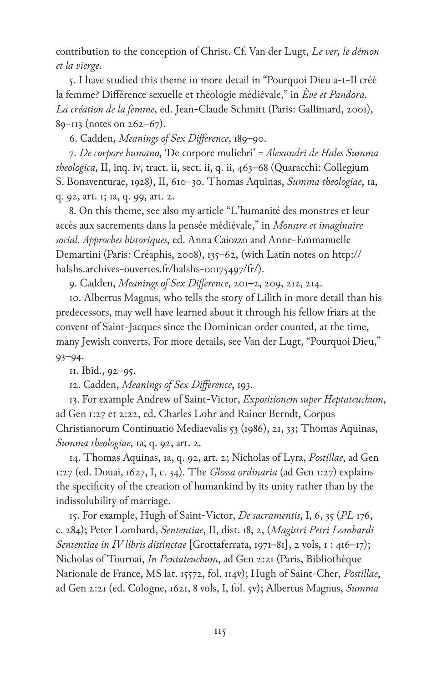contribution to the conception of Christ. Cf. Van der Lugt, *Le ver, le démon et la vierge*.

5. I have studied this theme in more detail in "Pourquoi Dieu a-t-Il créé la femme? Différence sexuelle et théologie médiévale," in *Ève et Pandora. La création de la femme*, ed. Jean-Claude Schmitt (Paris: Gallimard, 2001), 89–113 (notes on 262–67).

6. Cadden, *Meanings of Sex Difference*, 189–90.

7. *De corpore humano*, 'De corpore muliebri' = *Alexandri de Hales Summa theologica*, II, inq. iv, tract. ii, sect. ii, q. ii, 463–68 (Quaracchi: Collegium S. Bonaventurae, 1928), II, 610–30. Thomas Aquinas, *Summa theologiae*, 1a, q. 92, art. 1; 1a, q. 99, art. 2.

8. On this theme, see also my article "L'humanité des monstres et leur accès aux sacrements dans la pensée médiévale," in *Monstre et imaginaire social. Approches historiques*, ed. Anna Caiozzo and Anne-Emmanuelle Demartini (Paris: Créaphis, 2008), 135–62, (with Latin notes on http:// halshs.archives-ouvertes.fr/halshs-00175497/fr/).

9. Cadden, *Meanings of Sex Difference*, 201–2, 209, 212, 214.

10. Albertus Magnus, who tells the story of Lilith in more detail than his predecessors, may well have learned about it through his fellow friars at the convent of Saint-Jacques since the Dominican order counted, at the time, many Jewish converts. For more details, see Van der Lugt, "Pourquoi Dieu," 93–94.

11. Ibid., 92–95.

12. Cadden, *Meanings of Sex Difference*, 193.

13. For example Andrew of Saint-Victor, *Expositionem super Heptateuchum*, ad Gen 1:27 et 2:22, ed. Charles Lohr and Rainer Berndt, Corpus Christianorum Continuatio Mediaevalis 53 (1986), 21, 33; Thomas Aquinas, *Summa theologiae*, 1a, q. 92, art. 2.

14. Thomas Aquinas, 1a, q. 92, art. 2; Nicholas of Lyra, *Postillae*, ad Gen 1:27 (ed. Douai, 1627, I, c. 34). The *Glossa ordinaria* (ad Gen 1:27) explains the specificity of the creation of humankind by its unity rather than by the indissolubility of marriage.

15. For example, Hugh of Saint-Victor, *De sacramentis*, I, 6, 35 (*PL* 176, c. 284); Peter Lombard, *Sententiae*, II, dist. 18, 2, (*Magistri Petri Lombardi Sententiae in IV libris distinctae* [Grottaferrata, 1971–81], 2 vols, 1 : 416–17); Nicholas of Tournai, *In Pentateuchum*, ad Gen 2:21 (Paris, Bibliothèque Nationale de France, MS lat. 15572, fol. 114v); Hugh of Saint-Cher, *Postillae*, ad Gen 2:21 (ed. Cologne, 1621, 8 vols, I, fol. 5v); Albertus Magnus, *Summa*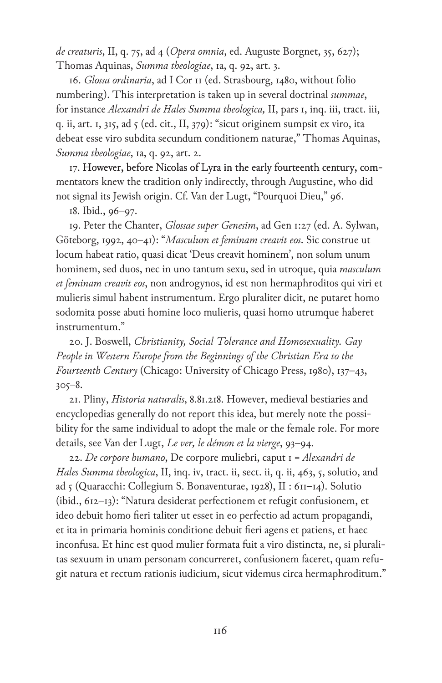*de creaturis*, II, q. 75, ad 4 (*Opera omnia*, ed. Auguste Borgnet, 35, 627); Thomas Aquinas, *Summa theologiae*, 1a, q. 92, art. 3.

16. *Glossa ordinaria*, ad I Cor 11 (ed. Strasbourg, 1480, without folio numbering). This interpretation is taken up in several doctrinal *summae*, for instance *Alexandri de Hales Summa theologica,* II, pars 1, inq. iii, tract. iii, q. ii, art. 1, 315, ad 5 (ed. cit., II, 379): "sicut originem sumpsit ex viro, ita debeat esse viro subdita secundum conditionem naturae," Thomas Aquinas, *Summa theologiae*, 1a, q. 92, art. 2.

17. However, before Nicolas of Lyra in the early fourteenth century, commentators knew the tradition only indirectly, through Augustine, who did not signal its Jewish origin. Cf. Van der Lugt, "Pourquoi Dieu," 96.

18. Ibid., 96–97.

19. Peter the Chanter, *Glossae super Genesim*, ad Gen 1:27 (ed. A. Sylwan, Göteborg, 1992, 40–41): "*Masculum et feminam creavit eos*. Sic construe ut locum habeat ratio, quasi dicat 'Deus creavit hominem', non solum unum hominem, sed duos, nec in uno tantum sexu, sed in utroque, quia *masculum et feminam creavit eos*, non androgynos, id est non hermaphroditos qui viri et mulieris simul habent instrumentum. Ergo pluraliter dicit, ne putaret homo sodomita posse abuti homine loco mulieris, quasi homo utrumque haberet instrumentum."

20. J. Boswell, *Christianity, Social Tolerance and Homosexuality. Gay People in Western Europe from the Beginnings of the Christian Era to the Fourteenth Century* (Chicago: University of Chicago Press, 1980), 137–43, 305–8.

21. Pliny, *Historia naturalis*, 8.81.218. However, medieval bestiaries and encyclopedias generally do not report this idea, but merely note the possibility for the same individual to adopt the male or the female role. For more details, see Van der Lugt, *Le ver, le démon et la vierge*, 93–94.

22. *De corpore humano*, De corpore muliebri, caput 1 = *Alexandri de Hales Summa theologica*, II, inq. iv, tract. ii, sect. ii, q. ii, 463, 5, solutio, and ad 5 (Quaracchi: Collegium S. Bonaventurae, 1928), II : 611–14). Solutio (ibid., 612–13): "Natura desiderat perfectionem et refugit confusionem, et ideo debuit homo fieri taliter ut esset in eo perfectio ad actum propagandi, et ita in primaria hominis conditione debuit fieri agens et patiens, et haec inconfusa. Et hinc est quod mulier formata fuit a viro distincta, ne, si pluralitas sexuum in unam personam concurreret, confusionem faceret, quam refugit natura et rectum rationis iudicium, sicut videmus circa hermaphroditum."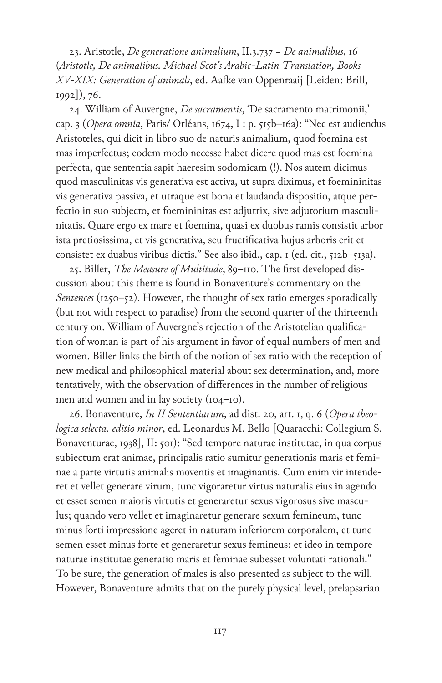23. Aristotle, *De generatione animalium*, II.3.737 = *De animalibus*, 16 (*Aristotle, De animalibus. Michael Scot's Arabic-Latin Translation, Books XV-XIX: Generation of animals*, ed. Aafke van Oppenraaij [Leiden: Brill, 1992]), 76.

24. William of Auvergne, *De sacramentis*, 'De sacramento matrimonii,' cap. 3 (*Opera omnia*, Paris/ Orléans, 1674, I : p. 515b–16a): "Nec est audiendus Aristoteles, qui dicit in libro suo de naturis animalium, quod foemina est mas imperfectus; eodem modo necesse habet dicere quod mas est foemina perfecta, que sententia sapit haeresim sodomicam (!). Nos autem dicimus quod masculinitas vis generativa est activa, ut supra diximus, et foemininitas vis generativa passiva, et utraque est bona et laudanda dispositio, atque perfectio in suo subjecto, et foemininitas est adjutrix, sive adjutorium masculinitatis. Quare ergo ex mare et foemina, quasi ex duobus ramis consistit arbor ista pretiosissima, et vis generativa, seu fructificativa hujus arboris erit et consistet ex duabus viribus dictis." See also ibid., cap. 1 (ed. cit., 512b-513a).

25. Biller, *The Measure of Multitude*, 89–110. The first developed discussion about this theme is found in Bonaventure's commentary on the *Sentences* (1250–52). However, the thought of sex ratio emerges sporadically (but not with respect to paradise) from the second quarter of the thirteenth century on. William of Auvergne's rejection of the Aristotelian qualification of woman is part of his argument in favor of equal numbers of men and women. Biller links the birth of the notion of sex ratio with the reception of new medical and philosophical material about sex determination, and, more tentatively, with the observation of differences in the number of religious men and women and in lay society (104-10).

26. Bonaventure, *In II Sententiarum*, ad dist. 20, art. 1, q. 6 (*Opera theologica selecta. editio minor*, ed. Leonardus M. Bello [Quaracchi: Collegium S. Bonaventurae, 1938], II: 501): "Sed tempore naturae institutae, in qua corpus subiectum erat animae, principalis ratio sumitur generationis maris et feminae a parte virtutis animalis moventis et imaginantis. Cum enim vir intenderet et vellet generare virum, tunc vigoraretur virtus naturalis eius in agendo et esset semen maioris virtutis et generaretur sexus vigorosus sive masculus; quando vero vellet et imaginaretur generare sexum femineum, tunc minus forti impressione ageret in naturam inferiorem corporalem, et tunc semen esset minus forte et generaretur sexus femineus: et ideo in tempore naturae institutae generatio maris et feminae subesset voluntati rationali." To be sure, the generation of males is also presented as subject to the will. However, Bonaventure admits that on the purely physical level, prelapsarian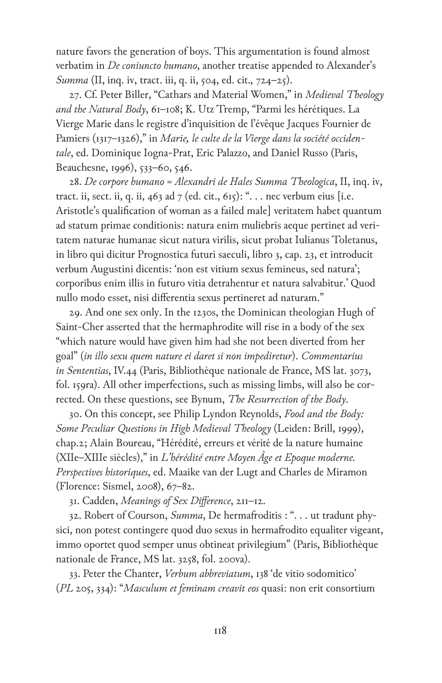nature favors the generation of boys. This argumentation is found almost verbatim in *De coniuncto humano*, another treatise appended to Alexander's *Summa* (II, inq. iv, tract. iii, q. ii, 504, ed. cit., 724–25).

27. Cf. Peter Biller, "Cathars and Material Women," in *Medieval Theology and the Natural Body*, 61–108; K. Utz Tremp, "Parmi les hérétiques. La Vierge Marie dans le registre d'inquisition de l'évêque Jacques Fournier de Pamiers (1317–1326)," in *Marie, le culte de la Vierge dans la société occidentale*, ed. Dominique Iogna-Prat, Eric Palazzo, and Daniel Russo (Paris, Beauchesne, 1996), 533–60, 546.

28. *De corpore humano* = *Alexandri de Hales Summa Theologica*, II, inq. iv, tract. ii, sect. ii, q. ii, 463 ad 7 (ed. cit., 615): "... nec verbum eius [i.e. Aristotle's qualification of woman as a failed male] veritatem habet quantum ad statum primae conditionis: natura enim muliebris aeque pertinet ad veritatem naturae humanae sicut natura virilis, sicut probat Iulianus Toletanus, in libro qui dicitur Prognostica futuri saeculi, libro 3, cap. 23, et introducit verbum Augustini dicentis: 'non est vitium sexus femineus, sed natura'; corporibus enim illis in futuro vitia detrahentur et natura salvabitur.' Quod nullo modo esset, nisi differentia sexus pertineret ad naturam."

29. And one sex only. In the 1230s, the Dominican theologian Hugh of Saint-Cher asserted that the hermaphrodite will rise in a body of the sex "which nature would have given him had she not been diverted from her goal" (*in illo sexu quem nature ei daret si non impediretur*). *Commentarius in Sententias*, IV.44 (Paris, Bibliothèque nationale de France, MS lat. 3073, fol. 159ra). All other imperfections, such as missing limbs, will also be corrected. On these questions, see Bynum, *The Resurrection of the Body*.

30. On this concept, see Philip Lyndon Reynolds, *Food and the Body: Some Peculiar Questions in High Medieval Theology* (Leiden: Brill, 1999), chap.2; Alain Boureau, "Hérédité, erreurs et vérité de la nature humaine (XIIe–XIIIe siècles)," in *L'hérédité entre Moyen Âge et Epoque moderne. Perspectives historiques*, ed. Maaike van der Lugt and Charles de Miramon (Florence: Sismel, 2008), 67–82.

31. Cadden, *Meanings of Sex Difference*, 211–12.

32. Robert of Courson, *Summa*, De hermafroditis : ". . . ut tradunt physici, non potest contingere quod duo sexus in hermafrodito equaliter vigeant, immo oportet quod semper unus obtineat privilegium" (Paris, Bibliothèque nationale de France, MS lat. 3258, fol. 200va).

33. Peter the Chanter, *Verbum abbreviatum*, 138 'de vitio sodomitico' (*PL* 205, 334): "*Masculum et feminam creavit eos* quasi: non erit consortium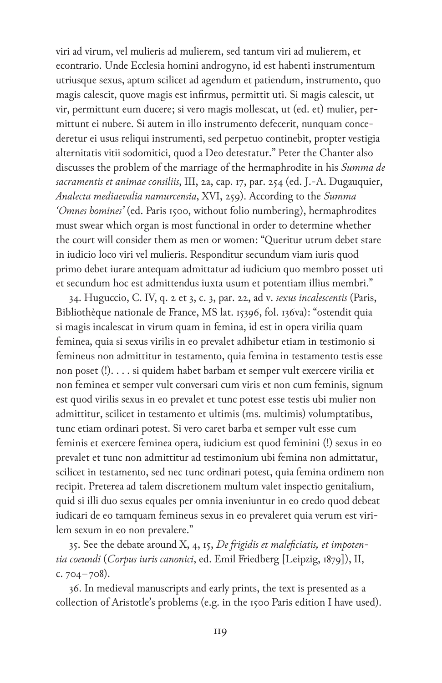viri ad virum, vel mulieris ad mulierem, sed tantum viri ad mulierem, et econtrario. Unde Ecclesia homini androgyno, id est habenti instrumentum utriusque sexus, aptum scilicet ad agendum et patiendum, instrumento, quo magis calescit, quove magis est infirmus, permittit uti. Si magis calescit, ut vir, permittunt eum ducere; si vero magis mollescat, ut (ed. et) mulier, permittunt ei nubere. Si autem in illo instrumento defecerit, nunquam concederetur ei usus reliqui instrumenti, sed perpetuo continebit, propter vestigia alternitatis vitii sodomitici, quod a Deo detestatur." Peter the Chanter also discusses the problem of the marriage of the hermaphrodite in his *Summa de sacramentis et animae consiliis*, III, 2a, cap. 17, par. 254 (ed. J.-A. Dugauquier, *Analecta mediaevalia namurcensia*, XVI, 259). According to the *Summa 'Omnes homines'* (ed. Paris 1500, without folio numbering), hermaphrodites must swear which organ is most functional in order to determine whether the court will consider them as men or women: "Queritur utrum debet stare in iudicio loco viri vel mulieris. Responditur secundum viam iuris quod primo debet iurare antequam admittatur ad iudicium quo membro posset uti et secundum hoc est admittendus iuxta usum et potentiam illius membri."

34. Huguccio, C. IV, q. 2 et 3, c. 3, par. 22, ad v. *sexus incalescentis* (Paris, Bibliothèque nationale de France, MS lat. 15396, fol. 136va): "ostendit quia si magis incalescat in virum quam in femina, id est in opera virilia quam feminea, quia si sexus virilis in eo prevalet adhibetur etiam in testimonio si femineus non admittitur in testamento, quia femina in testamento testis esse non poset (!). . . . si quidem habet barbam et semper vult exercere virilia et non feminea et semper vult conversari cum viris et non cum feminis, signum est quod virilis sexus in eo prevalet et tunc potest esse testis ubi mulier non admittitur, scilicet in testamento et ultimis (ms. multimis) volumptatibus, tunc etiam ordinari potest. Si vero caret barba et semper vult esse cum feminis et exercere feminea opera, iudicium est quod feminini (!) sexus in eo prevalet et tunc non admittitur ad testimonium ubi femina non admittatur, scilicet in testamento, sed nec tunc ordinari potest, quia femina ordinem non recipit. Preterea ad talem discretionem multum valet inspectio genitalium, quid si illi duo sexus equales per omnia inveniuntur in eo credo quod debeat iudicari de eo tamquam femineus sexus in eo prevaleret quia verum est virilem sexum in eo non prevalere."

35. See the debate around X, 4, 15, *De frigidis et maleficiatis, et impotentia coeundi* (*Corpus iuris canonici*, ed. Emil Friedberg [Leipzig, 1879]), II,  $c.704 - 708$ ).

36. In medieval manuscripts and early prints, the text is presented as a collection of Aristotle's problems (e.g. in the 1500 Paris edition I have used).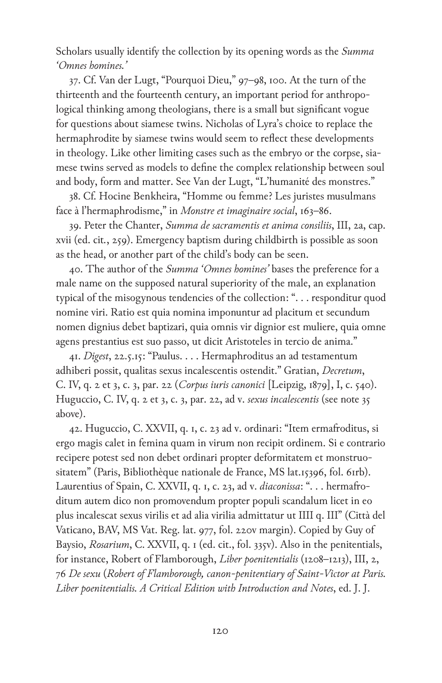Scholars usually identify the collection by its opening words as the *Summa 'Omnes homines.'*

37. Cf. Van der Lugt, "Pourquoi Dieu," 97–98, 100. At the turn of the thirteenth and the fourteenth century, an important period for anthropological thinking among theologians, there is a small but significant vogue for questions about siamese twins. Nicholas of Lyra's choice to replace the hermaphrodite by siamese twins would seem to reflect these developments in theology. Like other limiting cases such as the embryo or the corpse, siamese twins served as models to define the complex relationship between soul and body, form and matter. See Van der Lugt, "L'humanité des monstres."

38. Cf. Hocine Benkheira, "Homme ou femme? Les juristes musulmans face à l'hermaphrodisme," in *Monstre et imaginaire social*, 163–86.

39. Peter the Chanter, *Summa de sacramentis et anima consiliis*, III, 2a, cap. xvii (ed. cit*.*, 259). Emergency baptism during childbirth is possible as soon as the head, or another part of the child's body can be seen.

40. The author of the *Summa 'Omnes homines'* bases the preference for a male name on the supposed natural superiority of the male, an explanation typical of the misogynous tendencies of the collection: ". . . responditur quod nomine viri. Ratio est quia nomina imponuntur ad placitum et secundum nomen dignius debet baptizari, quia omnis vir dignior est muliere, quia omne agens prestantius est suo passo, ut dicit Aristoteles in tercio de anima."

41. *Digest*, 22.5.15: "Paulus. . . . Hermaphroditus an ad testamentum adhiberi possit, qualitas sexus incalescentis ostendit." Gratian, *Decretum*, C. IV, q. 2 et 3, c. 3, par. 22 (*Corpus iuris canonici* [Leipzig, 1879], I, c. 540). Huguccio, C. IV, q. 2 et 3, c. 3, par. 22, ad v. *sexus incalescentis* (see note 35 above).

42. Huguccio, C. XXVII, q. 1, c. 23 ad v. ordinari: "Item ermafroditus, si ergo magis calet in femina quam in virum non recipit ordinem. Si e contrario recipere potest sed non debet ordinari propter deformitatem et monstruositatem" (Paris, Bibliothèque nationale de France, MS lat.15396, fol. 61rb). Laurentius of Spain, C. XXVII, q. 1, c. 23, ad v. *diaconissa*: ". . . hermafroditum autem dico non promovendum propter populi scandalum licet in eo plus incalescat sexus virilis et ad alia virilia admittatur ut IIII q. III" (Città del Vaticano, BAV, MS Vat. Reg. lat. 977, fol. 220v margin). Copied by Guy of Baysio, *Rosarium*, C. XXVII, q. 1 (ed. cit., fol. 335v). Also in the penitentials, for instance, Robert of Flamborough, *Liber poenitentialis* (1208–1213), III, 2, 76 *De sexu* (*Robert of Flamborough, canon-penitentiary of Saint-Victor at Paris. Liber poenitentialis. A Critical Edition with Introduction and Notes*, ed. J. J.